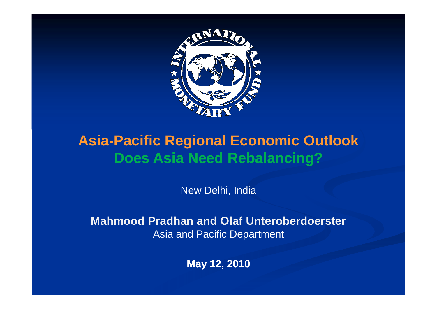

### **Asia-Pacific Regional Economic OutlookDoes Asia Need Rebalancing?**

New Delhi, India

**Mahmood Pradhan and Olaf Unteroberdoerster**Asia and Pacific Department

**May 12, 2010**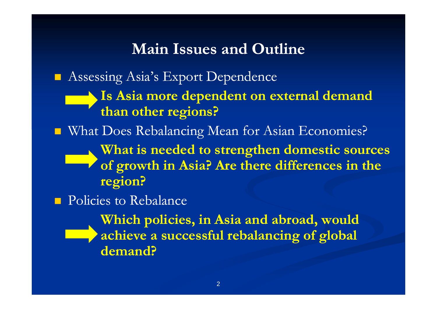#### **Main Issues and Outline**

**Assessing Asia's Export Dependence** 

**Is Asia more dependent on external demand than other regions?**

■ What Does Rebalancing Mean for Asian Economies?

**What is needed to strengthen domestic sources of growth in Asia? Are there differences in the region?**

**Policies to Rebalance** 

**Which policies, in Asia and abroad, would achieve a successful rebalancing of global demand?**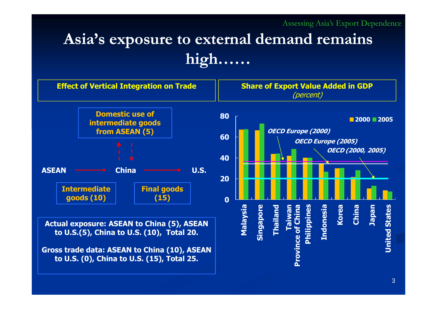## **Asia's exposure to external demand remains high……**

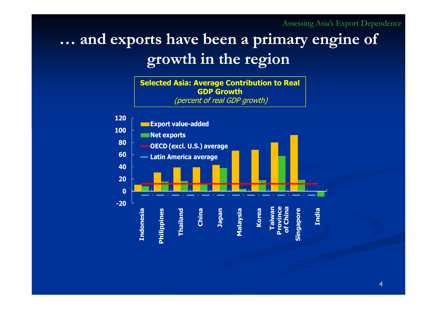Assessing Asia's Export Dependence

# **… and exports have been a primary engine of growth in the region**

**Selected Asia: Average Contribution to Real GDP Growth**(percent of real GDP growth)

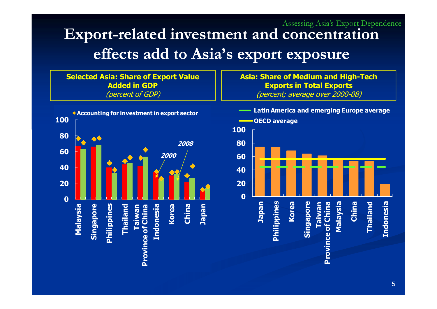#### **Export-related investment and concentration effects add to Asia's export exposure**Assessing Asia's Export Dependence

**Selected Asia: Share of Export Value Added in GDP** (percent of GDP)**Accounting for investment in export sector10080200860200040200Taiwan Malaysia Korea China Japan** Singapore **Singapore** Philippines **Philippines Chailand Thailand** Taiwan<br>Province of China **Province of China Indonesia Indonesia**

**Asia: Share of Medium and High-Tech Exports in Total Exports** (percent; average over 2000-08)

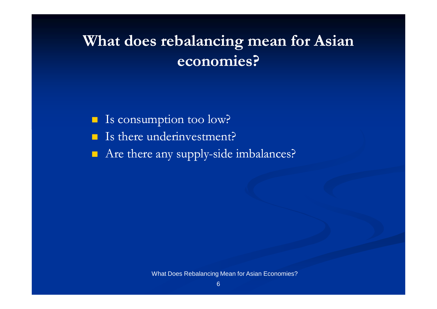# **What does rebalancing mean for Asian economies?**

 $\blacksquare$ Is consumption too low?

- $\blacksquare$ Is there underinvestment?
- $\blacksquare$ Are there any supply-side imbalances?

What Does Rebalancing Mean for Asian Economies?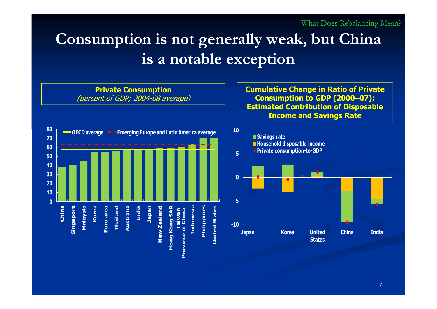# **Consumption is not generally weak, but China is a notable exception**

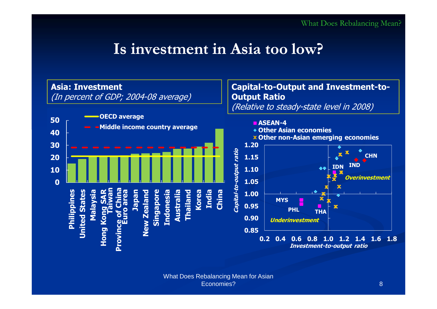### **Is investment in Asia too low?**

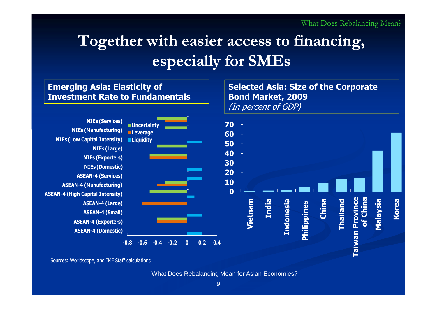# **Together with easier access to financing, especially for SMEs**



Sources: Worldscope, and IMF Staff calculations

What Does Rebalancing Mean for Asian Economies?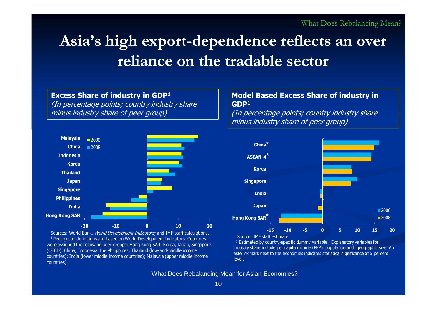# **Asia's high export-dependence reflects an over reliance on the tradable sector**

#### **Excess Share of industry in GDP<sup>1</sup>**

(In percentage points; country industry share minus industry share of peer group)



Sources: World Bank, *World Development Indicators;* and IMF staff calculations.<br><del>1 Peer-group definitions are based on World Development Indicators. Countries</del> <sup>1</sup>Peer-group definitions are based on World Development Indicators. Countries were assigned the following peer-groups: Hong Kong SAR, Korea, Japan, Singapore (OECD); China, Indonesia, the Philippines, Thailand (low-and-middle income countries); India (lower middle income countries); Malaysia (upper middle income countries).

#### **Model Based Excess Share of industry in GDP1**

(In percentage points; country industry share minus industry share of peer group)



Source: IMF staff estimate.

<sup>1</sup> Estimated by country-specific dummy variable. Explanatory variables for<br>Idustry share include per capita income (PPP), population and *geographic* s industry share include per capita income (PPP), population and geographic size. An asterisk mark next to the economies indicates statistical significance at 5 percent level.

What Does Rebalancing Mean for Asian Economies?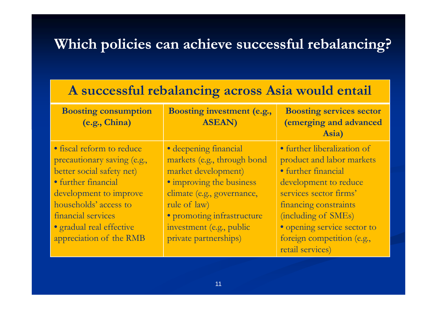#### **Which policies can achieve successful rebalancing?**

#### **A successful rebalancing across Asia would entail**

| <b>Boosting consumption</b><br>(e.g., China) | Boosting investment (e.g.,<br><b>ASEAN)</b> | <b>Boosting services sector</b><br>(emerging and advanced<br>Asia) |
|----------------------------------------------|---------------------------------------------|--------------------------------------------------------------------|
| • fiscal reform to reduce                    | • deepening financial                       | · further liberalization of                                        |
| precautionary saving (e.g.,                  | markets (e.g., through bond                 | product and labor markets                                          |
| better social safety net)                    | market development)                         | • further financial                                                |
| • further financial                          | • improving the business                    | development to reduce                                              |
| development to improve                       | climate (e.g., governance,                  | services sector firms'                                             |
| households' access to                        | rule of law)                                | financing constraints                                              |
| financial services                           | · promoting infrastructure                  | (including of SMEs)                                                |
| · gradual real effective                     | investment (e.g., public                    | · opening service sector to                                        |
| appreciation of the RMB                      | private partnerships)                       | foreign competition (e.g.,                                         |
|                                              |                                             | retail services)                                                   |